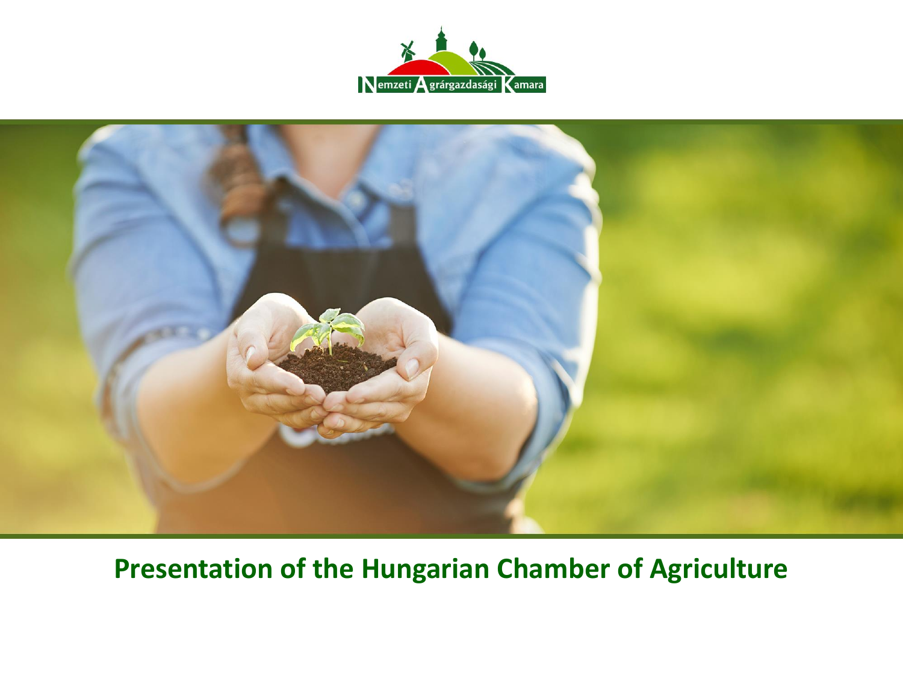



#### **Presentation of the Hungarian Chamber of Agriculture**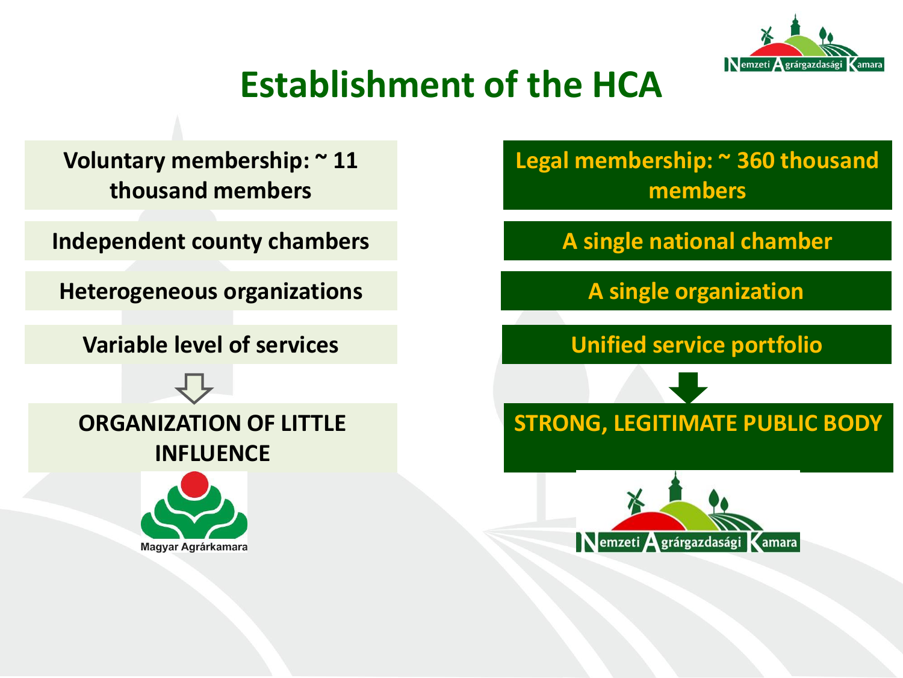

### **Establishment of the HCA**

**Voluntary membership: ~ 11 thousand members**

**Independent county chambers A single national chamber** 

**Heterogeneous organizations A single organization** 

**Variable level of services Unified service portfolio**



#### **ORGANIZATION OF LITTLE INFLUENCE**



**Legal membership: ~ 360 thousand members**

**STRONG, LEGITIMATE PUBLIC BODY**

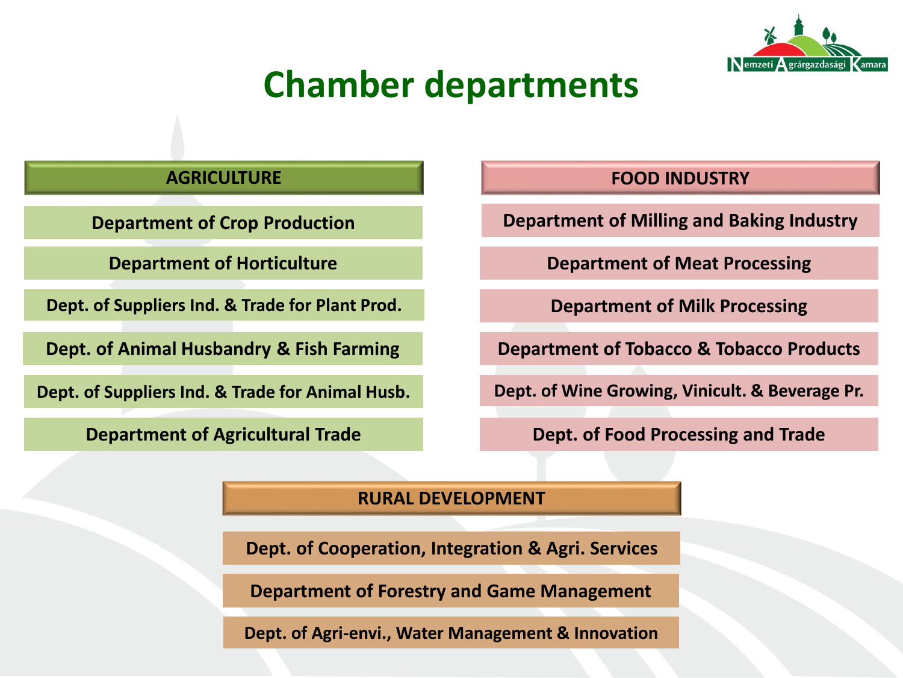

#### **Chamber departments**

**Department of Crop Production**

**Department of Horticulture**

**Dept. of Suppliers Ind. & Trade for Plant Prod.**

**Dept. of Animal Husbandry & Fish Farming**

**Dept. of Suppliers Ind. & Trade for Animal Husb.**

**Department of Agricultural Trade**

#### **AGRICULTURE FOOD INDUSTRY**

**Department of Milling and Baking Industry**

**Department of Meat Processing**

**Department of Milk Processing**

**Department of Tobacco & Tobacco Products**

**Dept. of Wine Growing, Vinicult. & Beverage Pr.**

**Dept. of Food Processing and Trade**

#### **RURAL DEVELOPMENT**

**Dept. of Cooperation, Integration & Agri. Services**

**Department of Forestry and Game Management**

**Dept. of Agri-envi., Water Management & Innovation**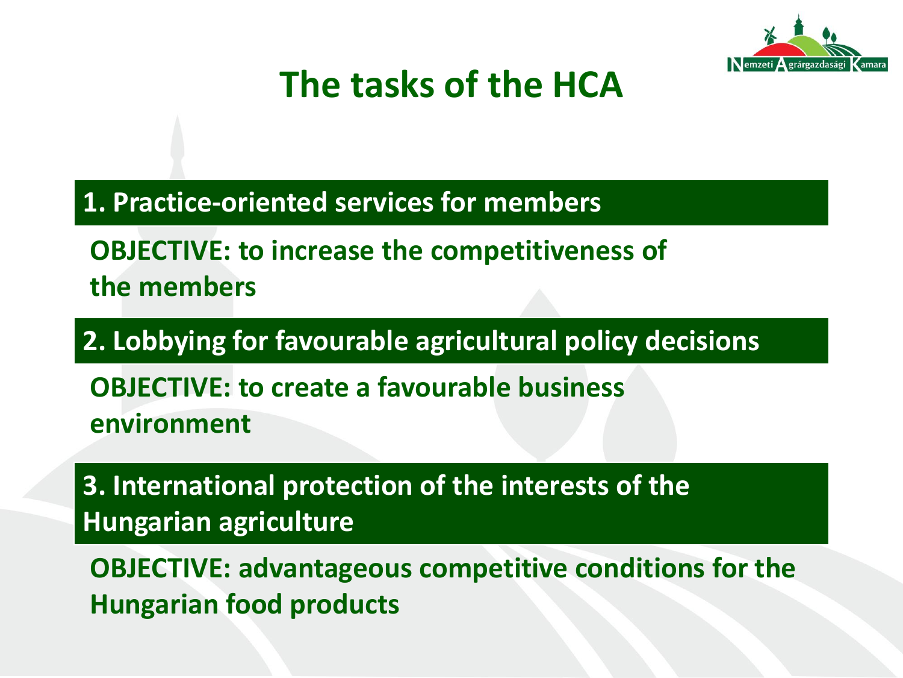

### **The tasks of the HCA**

**1. Practice-oriented services for members**

**OBJECTIVE: to increase the competitiveness of the members**

**2. Lobbying for favourable agricultural policy decisions**

**OBJECTIVE: to create a favourable business environment**

**3. International protection of the interests of the Hungarian agriculture**

**OBJECTIVE: advantageous competitive conditions for the Hungarian food products**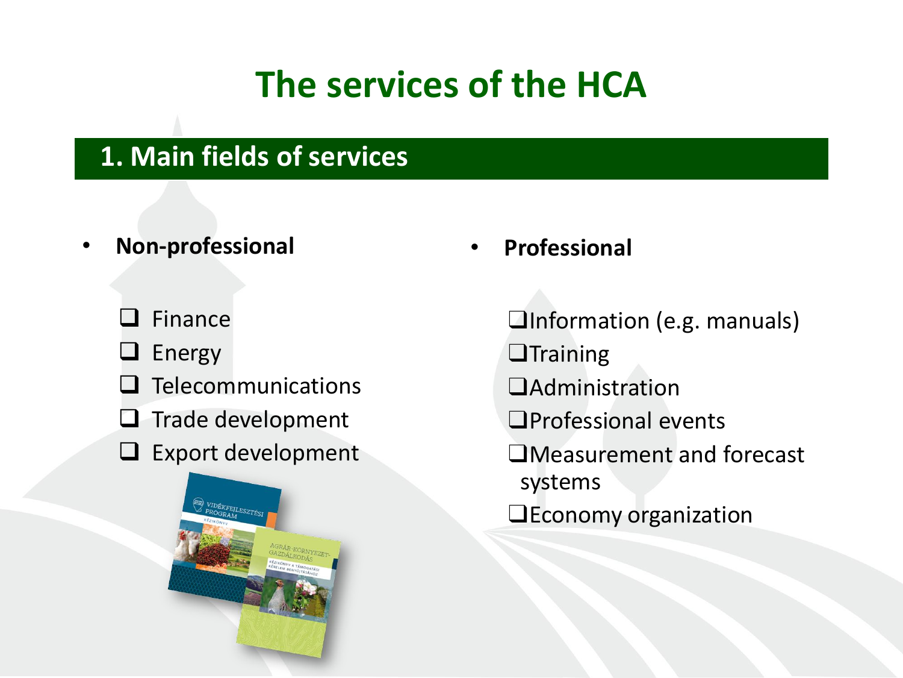## **The services of the HCA**

#### **1. Main fields of services**

- **Non-professional**
	- Finance
	- $\sqcup$  Energy
	- Telecommunications
	- $\Box$  Trade development
	- $\Box$  Export development



• **Professional**

❑Information (e.g. manuals)

- ❑Training
- ❑Administration
- ❑Professional events
- ❑Measurement and forecast systems
- ❑Economy organization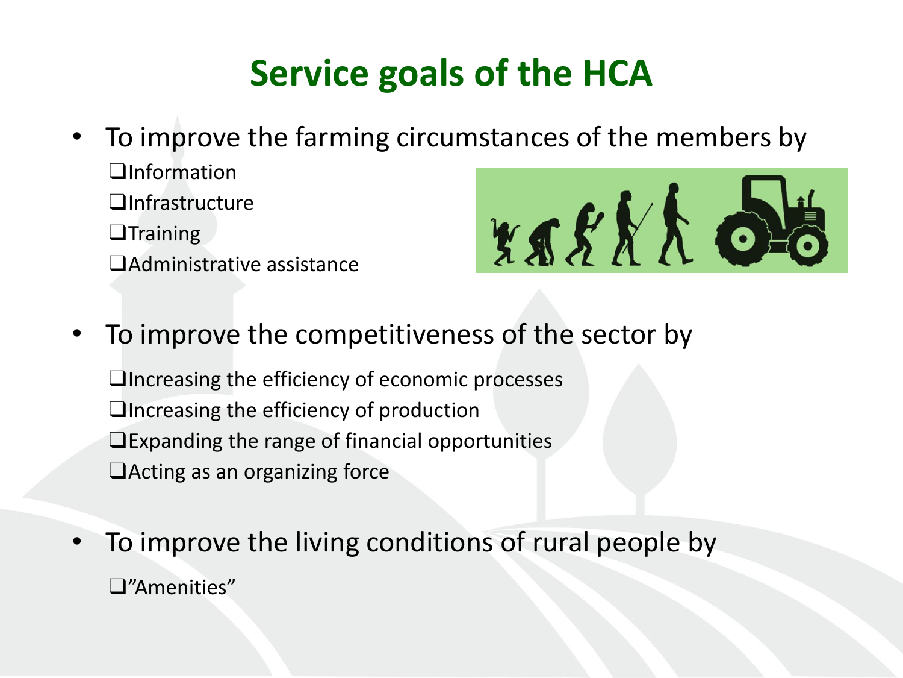# **Service goals of the HCA**

- To improve the farming circumstances of the members by
	- ❑Information ❑Infrastructure ❑Training ❑Administrative assistance
- xssxx 05
- To improve the competitiveness of the sector by

❑Increasing the efficiency of economic processes ❑Increasing the efficiency of production ❑Expanding the range of financial opportunities ❑Acting as an organizing force

• To improve the living conditions of rural people by ❑"Amenities"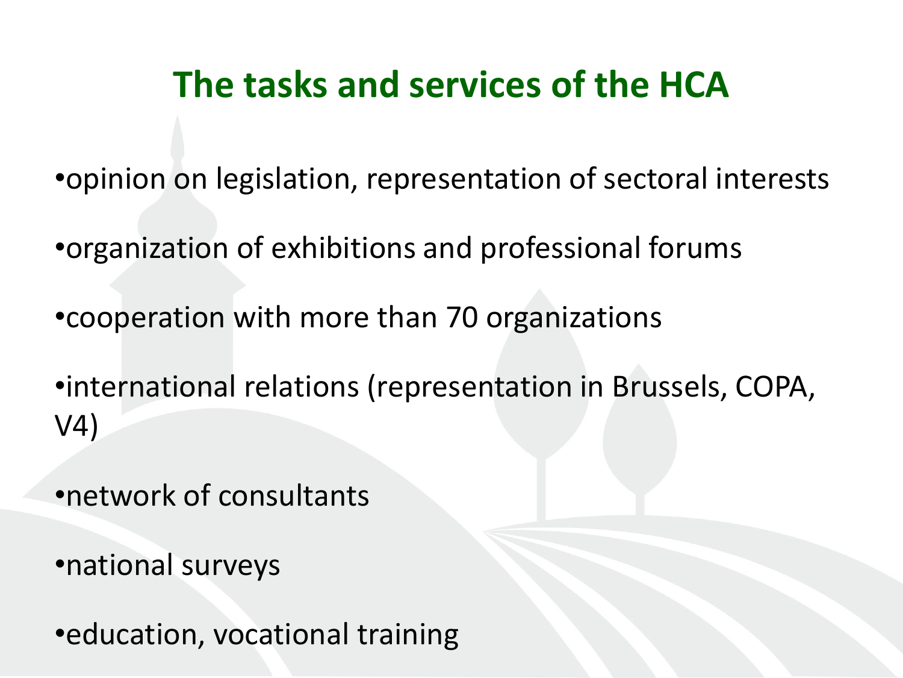### **The tasks and services of the HCA**

•opinion on legislation, representation of sectoral interests

•organization of exhibitions and professional forums

•cooperation with more than 70 organizations

•international relations (representation in Brussels, COPA, V4)

•network of consultants

•national surveys

•education, vocational training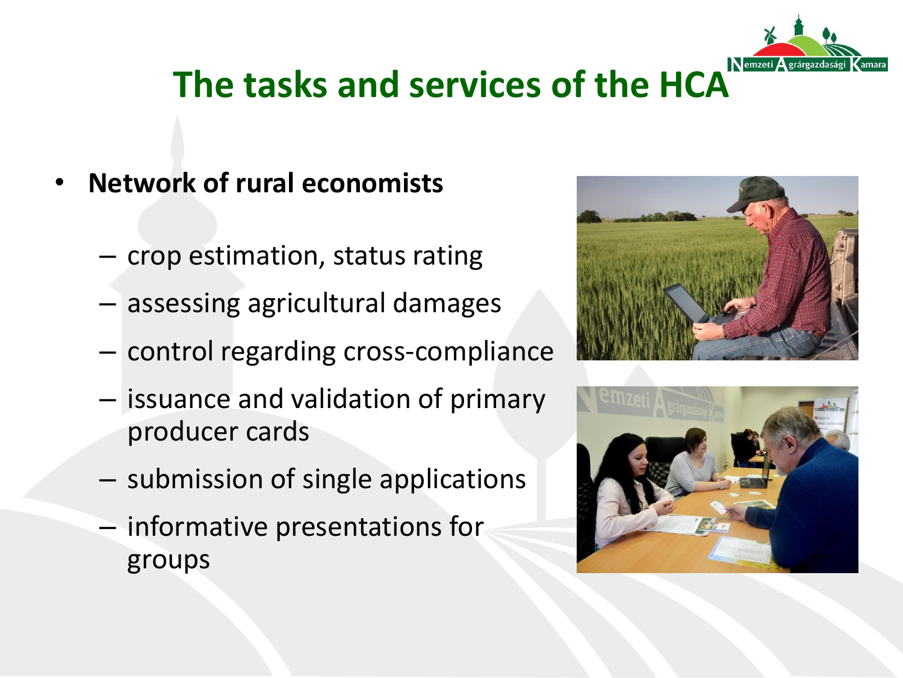

# **The tasks and services of the HCA**

- **Network of rural economists**
	- crop estimation, status rating
	- assessing agricultural damages
	- control regarding cross-compliance
	- issuance and validation of primary producer cards
	- submission of single applications
	- informative presentations for groups